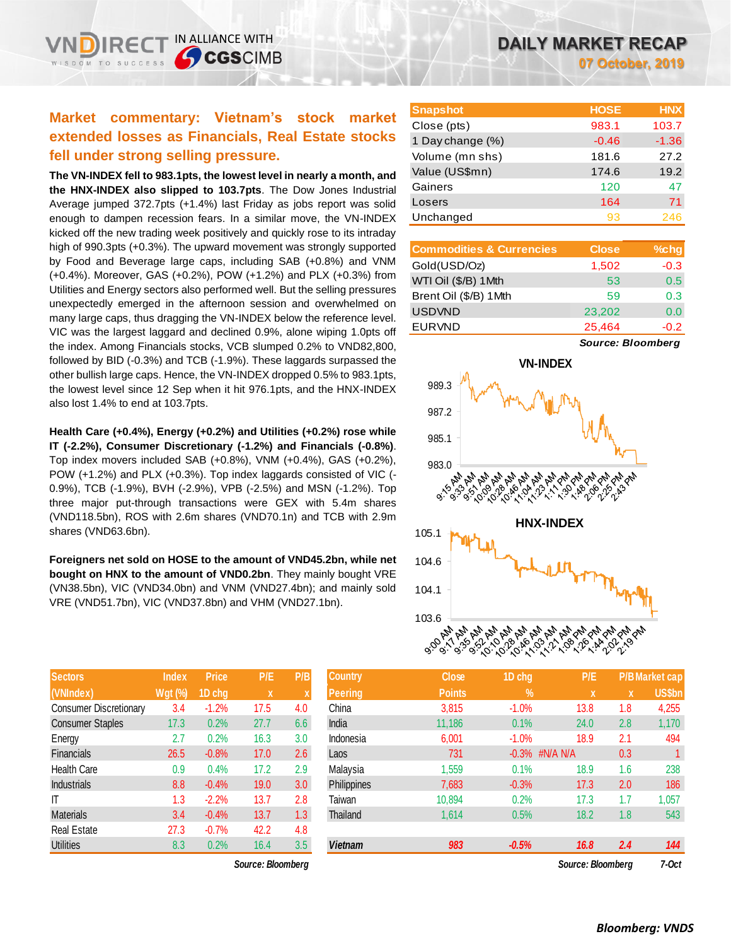# **Market commentary: Vietnam's stock market extended losses as Financials, Real Estate stocks fell under strong selling pressure.**

IN ALLIANCE WITH

**CGSCIMB** 

**The VN-INDEX fell to 983.1pts, the lowest level in nearly a month, and the HNX-INDEX also slipped to 103.7pts**. The Dow Jones Industrial Average jumped 372.7pts (+1.4%) last Friday as jobs report was solid enough to dampen recession fears. In a similar move, the VN-INDEX kicked off the new trading week positively and quickly rose to its intraday high of 990.3pts (+0.3%). The upward movement was strongly supported by Food and Beverage large caps, including SAB (+0.8%) and VNM (+0.4%). Moreover, GAS (+0.2%), POW (+1.2%) and PLX (+0.3%) from Utilities and Energy sectors also performed well. But the selling pressures unexpectedly emerged in the afternoon session and overwhelmed on many large caps, thus dragging the VN-INDEX below the reference level. VIC was the largest laggard and declined 0.9%, alone wiping 1.0pts off the index. Among Financials stocks, VCB slumped 0.2% to VND82,800, followed by BID (-0.3%) and TCB (-1.9%). These laggards surpassed the other bullish large caps. Hence, the VN-INDEX dropped 0.5% to 983.1pts, the lowest level since 12 Sep when it hit 976.1pts, and the HNX-INDEX also lost 1.4% to end at 103.7pts.

**Health Care (+0.4%), Energy (+0.2%) and Utilities (+0.2%) rose while IT (-2.2%), Consumer Discretionary (-1.2%) and Financials (-0.8%)**. Top index movers included SAB (+0.8%), VNM (+0.4%), GAS (+0.2%), POW (+1.2%) and PLX (+0.3%). Top index laggards consisted of VIC (- 0.9%), TCB (-1.9%), BVH (-2.9%), VPB (-2.5%) and MSN (-1.2%). Top three major put-through transactions were GEX with 5.4m shares (VND118.5bn), ROS with 2.6m shares (VND70.1n) and TCB with 2.9m shares (VND63.6bn).

**Foreigners net sold on HOSE to the amount of VND45.2bn, while net bought on HNX to the amount of VND0.2bn**. They mainly bought VRE (VN38.5bn), VIC (VND34.0bn) and VNM (VND27.4bn); and mainly sold VRE (VND51.7bn), VIC (VND37.8bn) and VHM (VND27.1bn).

| <b>Sectors</b>                | <b>Index</b>   | <b>Price</b> | P/E  | P/B |
|-------------------------------|----------------|--------------|------|-----|
| (VNIndex)                     | <b>Wgt (%)</b> | 1D chg       | X    | X   |
| <b>Consumer Discretionary</b> | 3.4            | $-1.2%$      | 17.5 | 4.0 |
| <b>Consumer Staples</b>       | 17.3           | 0.2%         | 27.7 | 6.6 |
| Energy                        | 2.7            | 0.2%         | 16.3 | 3.0 |
| <b>Financials</b>             | 26.5           | $-0.8%$      | 17.0 | 2.6 |
| <b>Health Care</b>            | 0.9            | 0.4%         | 17.2 | 2.9 |
| <b>Industrials</b>            | 8.8            | $-0.4%$      | 19.0 | 3.0 |
| ıτ                            | 1.3            | $-2.2%$      | 13.7 | 2.8 |
| <b>Materials</b>              | 3.4            | $-0.4%$      | 13.7 | 1.3 |
| <b>Real Estate</b>            | 27.3           | $-0.7%$      | 42.2 | 4.8 |
| <b>Utilities</b>              | 8.3            | 0.2%         | 16.4 | 3.5 |

 $Source: Bloomberg$ 

| <b>Snapshot</b>  | <b>HOSE</b> | <b>HNX</b> |
|------------------|-------------|------------|
| Close (pts)      | 983.1       | 103.7      |
| 1 Day change (%) | $-0.46$     | $-1.36$    |
| Volume (mn shs)  | 181.6       | 27.2       |
| Value (US\$mn)   | 174.6       | 19.2       |
| Gainers          | 120         | 47         |
| Losers           | 164         | 71         |
| Unchanged        | 93          | 246        |

| <b>Commodities &amp; Currencies</b> | <b>Close</b> | $%$ chg |
|-------------------------------------|--------------|---------|
| Gold(USD/Oz)                        | 1,502        | $-0.3$  |
| WTI Oil (\$/B) 1Mth                 | 53           | 0.5     |
| Brent Oil (\$/B) 1Mth               | 59           | 0.3     |
| <b>USDVND</b>                       | 23,202       | 0.0     |
| <b>EURVND</b>                       | 25,464       | $-0.2$  |

*Source: Bloomberg*



| <b>Sectors</b>          | <b>Index</b>   | <b>Price</b> | P/E               | P/B              | <b>Country</b> | <b>Close</b>  | 1D chg            | P/E               |     | <b>P/B Market cap</b> |
|-------------------------|----------------|--------------|-------------------|------------------|----------------|---------------|-------------------|-------------------|-----|-----------------------|
| (VNIndex)               | <b>Wgt (%)</b> | 1D chg       | X.                |                  | <b>Peering</b> | <b>Points</b> | $\frac{9}{6}$     | X                 | X   | <b>US\$bn</b>         |
| Consumer Discretionary  | 3.4            | $-1.2%$      | 17.5              | 4.0              | China          | 3,815         | $-1.0%$           | 13.8              | 1.8 | 4,255                 |
| <b>Consumer Staples</b> | 17.3           | 0.2%         | 27.7              | 6.6              | India          | 11,186        | 0.1%              | 24.0              | 2.8 | 1,170                 |
| Energy                  | 2.7            | 0.2%         | 16.3              | 3.0              | Indonesia      | 6,001         | $-1.0%$           | 18.9              | 2.1 | 494                   |
| Financials              | 26.5           | $-0.8%$      | 17.0              | 2.6              | Laos           | 731           | $-0.3\%$ #N/A N/A |                   | 0.3 |                       |
| Health Care             | 0.9            | 0.4%         | 17.2              | 2.9              | Malaysia       | 1,559         | 0.1%              | 18.9              | 1.6 | 238                   |
| <b>Industrials</b>      | 8.8            | $-0.4%$      | 19.0              | 3.0 <sub>2</sub> | Philippines    | 7,683         | $-0.3%$           | 17.3              | 2.0 | 186                   |
| ΙT                      | 1.3            | $-2.2%$      | 13.7              | 2.8              | Taiwan         | 10,894        | 0.2%              | 17.3              | 1.7 | 1,057                 |
| Materials               | 3.4            | $-0.4%$      | 13.7              | 1.3 <sub>2</sub> | Thailand       | 1,614         | 0.5%              | 18.2              | 1.8 | 543                   |
| Real Estate             | 27.3           | $-0.7%$      | 42.2              | 4.8              |                |               |                   |                   |     |                       |
| <b>Utilities</b>        | 8.3            | 0.2%         | 16.4              | 3.5              | <b>Vietnam</b> | 983           | $-0.5%$           | 16.8              | 2.4 | 144                   |
|                         |                |              | Source: Bloomberg |                  |                |               |                   | Source: Bloomberg |     | $7-0ct$               |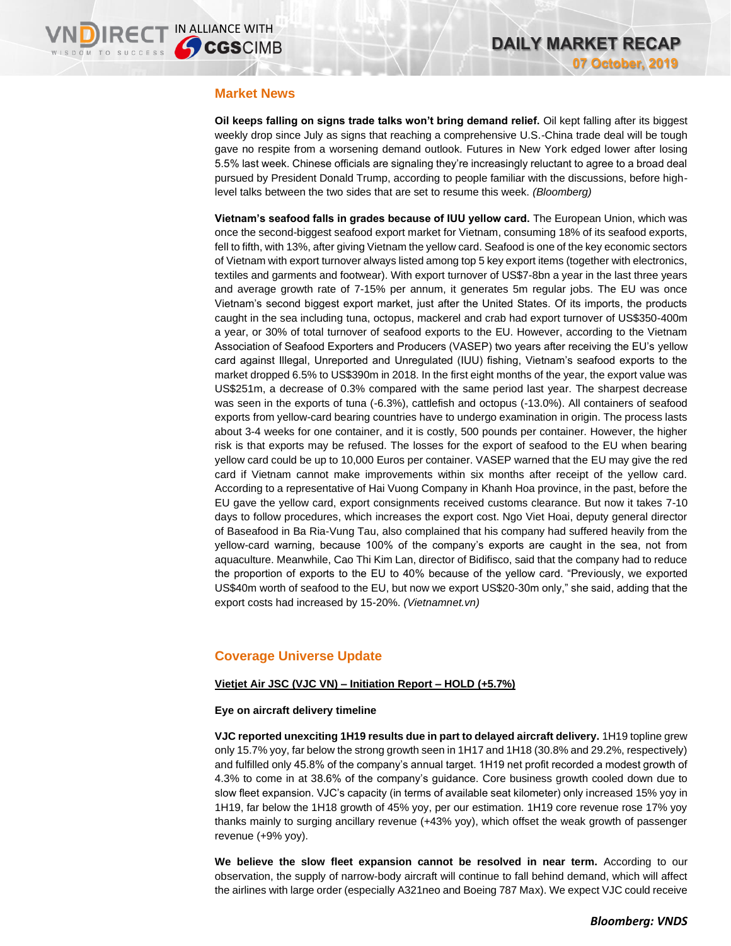## **Market News**

**Oil keeps falling on signs trade talks won't bring demand relief.** Oil kept falling after its biggest weekly drop since July as signs that reaching a comprehensive U.S.-China trade deal will be tough gave no respite from a worsening demand outlook. Futures in New York edged lower after losing 5.5% last week. Chinese officials are signaling they're increasingly reluctant to agree to a broad deal pursued by President Donald Trump, according to people familiar with the discussions, before highlevel talks between the two sides that are set to resume this week. *(Bloomberg)*

**Vietnam's seafood falls in grades because of IUU yellow card.** The European Union, which was once the second-biggest seafood export market for Vietnam, consuming 18% of its seafood exports, fell to fifth, with 13%, after giving Vietnam the yellow card. Seafood is one of the key economic sectors of Vietnam with export turnover always listed among top 5 key export items (together with electronics, textiles and garments and footwear). With export turnover of US\$7-8bn a year in the last three years and average growth rate of 7-15% per annum, it generates 5m regular jobs. The EU was once Vietnam's second biggest export market, just after the United States. Of its imports, the products caught in the sea including tuna, octopus, mackerel and crab had export turnover of US\$350-400m a year, or 30% of total turnover of seafood exports to the EU. However, according to the Vietnam Association of Seafood Exporters and Producers (VASEP) two years after receiving the EU's yellow card against Illegal, Unreported and Unregulated (IUU) fishing, Vietnam's seafood exports to the market dropped 6.5% to US\$390m in 2018. In the first eight months of the year, the export value was US\$251m, a decrease of 0.3% compared with the same period last year. The sharpest decrease was seen in the exports of tuna (-6.3%), cattlefish and octopus (-13.0%). All containers of seafood exports from yellow-card bearing countries have to undergo examination in origin. The process lasts about 3-4 weeks for one container, and it is costly, 500 pounds per container. However, the higher risk is that exports may be refused. The losses for the export of seafood to the EU when bearing yellow card could be up to 10,000 Euros per container. VASEP warned that the EU may give the red card if Vietnam cannot make improvements within six months after receipt of the yellow card. According to a representative of Hai Vuong Company in Khanh Hoa province, in the past, before the EU gave the yellow card, export consignments received customs clearance. But now it takes 7-10 days to follow procedures, which increases the export cost. Ngo Viet Hoai, deputy general director of Baseafood in Ba Ria-Vung Tau, also complained that his company had suffered heavily from the yellow-card warning, because 100% of the company's exports are caught in the sea, not from aquaculture. Meanwhile, Cao Thi Kim Lan, director of Bidifisco, said that the company had to reduce the proportion of exports to the EU to 40% because of the yellow card. "Previously, we exported US\$40m worth of seafood to the EU, but now we export US\$20-30m only," she said, adding that the export costs had increased by 15-20%. *(Vietnamnet.vn)*

# **Coverage Universe Update**

### **Vietjet Air JSC (VJC VN) – Initiation Report – HOLD (+5.7%)**

### **Eye on aircraft delivery timeline**

**VJC reported unexciting 1H19 results due in part to delayed aircraft delivery.** 1H19 topline grew only 15.7% yoy, far below the strong growth seen in 1H17 and 1H18 (30.8% and 29.2%, respectively) and fulfilled only 45.8% of the company's annual target. 1H19 net profit recorded a modest growth of 4.3% to come in at 38.6% of the company's guidance. Core business growth cooled down due to slow fleet expansion. VJC's capacity (in terms of available seat kilometer) only increased 15% yoy in 1H19, far below the 1H18 growth of 45% yoy, per our estimation. 1H19 core revenue rose 17% yoy thanks mainly to surging ancillary revenue (+43% yoy), which offset the weak growth of passenger revenue (+9% yoy).

**We believe the slow fleet expansion cannot be resolved in near term.** According to our observation, the supply of narrow-body aircraft will continue to fall behind demand, which will affect the airlines with large order (especially A321neo and Boeing 787 Max). We expect VJC could receive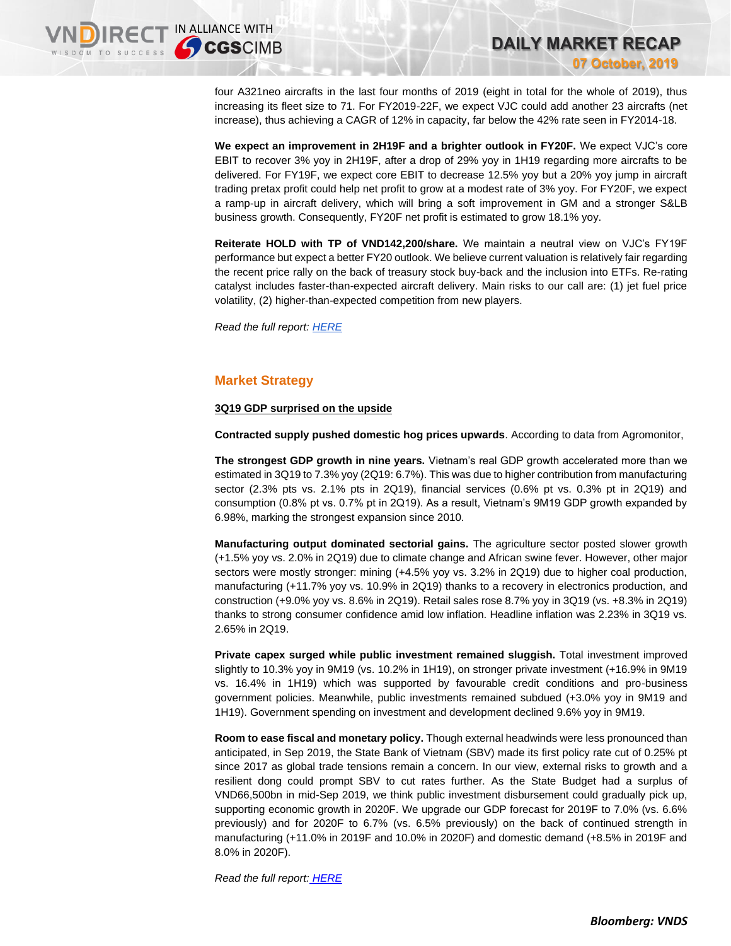four A321neo aircrafts in the last four months of 2019 (eight in total for the whole of 2019), thus increasing its fleet size to 71. For FY2019-22F, we expect VJC could add another 23 aircrafts (net increase), thus achieving a CAGR of 12% in capacity, far below the 42% rate seen in FY2014-18.

**DAILY MARKET RECAP** 

**07 October, 2019**

**We expect an improvement in 2H19F and a brighter outlook in FY20F.** We expect VJC's core EBIT to recover 3% yoy in 2H19F, after a drop of 29% yoy in 1H19 regarding more aircrafts to be delivered. For FY19F, we expect core EBIT to decrease 12.5% yoy but a 20% yoy jump in aircraft trading pretax profit could help net profit to grow at a modest rate of 3% yoy. For FY20F, we expect a ramp-up in aircraft delivery, which will bring a soft improvement in GM and a stronger S&LB business growth. Consequently, FY20F net profit is estimated to grow 18.1% yoy.

**Reiterate HOLD with TP of VND142,200/share.** We maintain a neutral view on VJC's FY19F performance but expect a better FY20 outlook. We believe current valuation is relatively fair regarding the recent price rally on the back of treasury stock buy-back and the inclusion into ETFs. Re-rating catalyst includes faster-than-expected aircraft delivery. Main risks to our call are: (1) jet fuel price volatility, (2) higher-than-expected competition from new players.

*Read the full report: [HERE](https://apc01.safelinks.protection.outlook.com/?url=https%3A%2F%2Fnhanha-public-api.vndirect.com.vn%2Fclick%2FOGE0ODlmZDA2ODYwMjZlMjAxNjg5OGJlM2IzNDMxODU%3D%2FNzEyN2UyNzA5MDQ5NDViOGJmNDBkMTQ4NTJlMDE2YWY%3D%2F7127e270904945b8bf40d14852e016af-VJC_Update_20191007_HOLD.pdf%2FcmVzZWFyY2hAdm5kaXJlY3QuY29tLnZu%2FMTAxNDI%3D&data=01%7C01%7Ctrung.phanthanh%40vndirect.com.vn%7C9c63ce315181457b6f9508d74ae1fad0%7C205877dd7b5242a0869607cbd63de0f4%7C0&sdata=BnReh4ys%2Bbrnsf68hB0F%2Fg350flNZw%2FoISKDAPT25Vk%3D&reserved=0)*

## **Market Strategy**

### **3Q19 GDP surprised on the upside**

**Contracted supply pushed domestic hog prices upwards**. According to data from Agromonitor,

**The strongest GDP growth in nine years.** Vietnam's real GDP growth accelerated more than we estimated in 3Q19 to 7.3% yoy (2Q19: 6.7%). This was due to higher contribution from manufacturing sector  $(2.3\%$  pts vs.  $2.1\%$  pts in  $2Q19$ ), financial services  $(0.6\%$  pt vs.  $0.3\%$  pt in  $2Q19$ ) and consumption (0.8% pt vs. 0.7% pt in 2Q19). As a result, Vietnam's 9M19 GDP growth expanded by 6.98%, marking the strongest expansion since 2010.

**Manufacturing output dominated sectorial gains.** The agriculture sector posted slower growth (+1.5% yoy vs. 2.0% in 2Q19) due to climate change and African swine fever. However, other major sectors were mostly stronger: mining (+4.5% yoy vs. 3.2% in 2Q19) due to higher coal production, manufacturing (+11.7% yoy vs. 10.9% in 2Q19) thanks to a recovery in electronics production, and construction (+9.0% yoy vs. 8.6% in 2Q19). Retail sales rose 8.7% yoy in 3Q19 (vs. +8.3% in 2Q19) thanks to strong consumer confidence amid low inflation. Headline inflation was 2.23% in 3Q19 vs. 2.65% in 2Q19.

**Private capex surged while public investment remained sluggish.** Total investment improved slightly to 10.3% yoy in 9M19 (vs. 10.2% in 1H19), on stronger private investment (+16.9% in 9M19 vs. 16.4% in 1H19) which was supported by favourable credit conditions and pro-business government policies. Meanwhile, public investments remained subdued (+3.0% yoy in 9M19 and 1H19). Government spending on investment and development declined 9.6% yoy in 9M19.

**Room to ease fiscal and monetary policy.** Though external headwinds were less pronounced than anticipated, in Sep 2019, the State Bank of Vietnam (SBV) made its first policy rate cut of 0.25% pt since 2017 as global trade tensions remain a concern. In our view, external risks to growth and a resilient dong could prompt SBV to cut rates further. As the State Budget had a surplus of VND66,500bn in mid-Sep 2019, we think public investment disbursement could gradually pick up, supporting economic growth in 2020F. We upgrade our GDP forecast for 2019F to 7.0% (vs. 6.6% previously) and for 2020F to 6.7% (vs. 6.5% previously) on the back of continued strength in manufacturing (+11.0% in 2019F and 10.0% in 2020F) and domestic demand (+8.5% in 2019F and 8.0% in 2020F).

*Read the full report: [HERE](https://apc01.safelinks.protection.outlook.com/?url=https%3A%2F%2Fnhanha-public-api.vndirect.com.vn%2Fclick%2FOGE0ODlmZDA2ODYwMjZlMjAxNjg5OGJlM2IzNDMxODU%3D%2FZGYwMjE3MzgyZmEwNDJhMWI1OTU1NTAxY2NkYWM3ODQ%3D%2Fdf0217382fa042a1b5955501ccdac784-Economic_Update_Vietnam_20191007.pdf%2FcmVzZWFyY2hAdm5kaXJlY3QuY29tLnZu%2FMTAxNjM%3D&data=01%7C01%7Ctrung.phanthanh%40vndirect.com.vn%7C3523b653de4648d1550108d74b033ed9%7C205877dd7b5242a0869607cbd63de0f4%7C0&sdata=paSpG6DVeUH9QPRWv7kWfakJGAtQw%2BvB0wkePDTmBMU%3D&reserved=0)*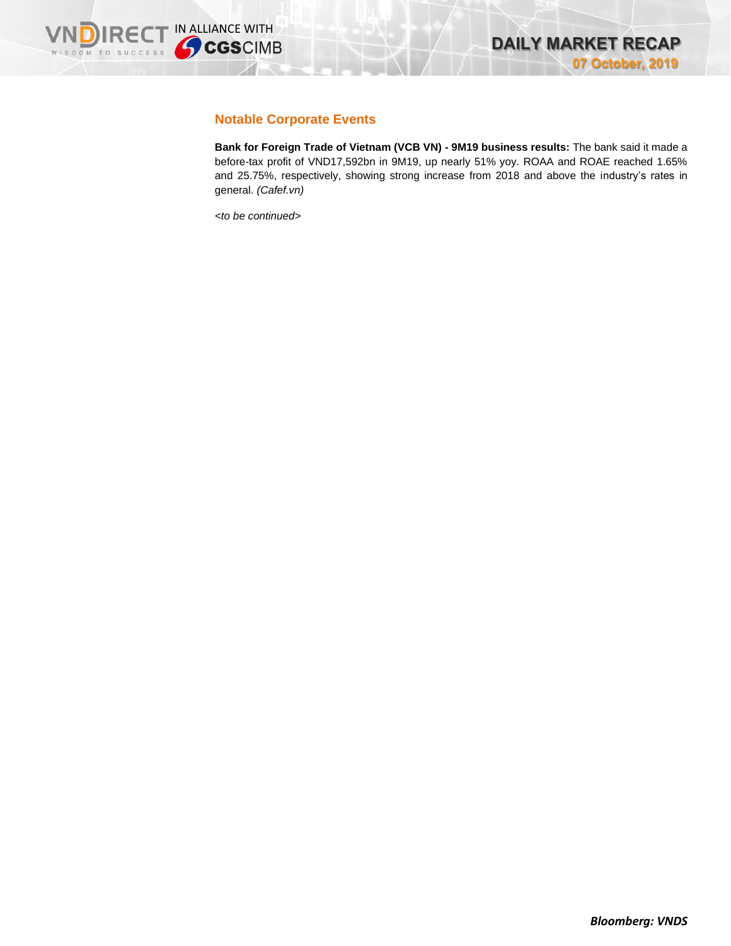

# **Notable Corporate Events**

**Bank for Foreign Trade of Vietnam (VCB VN) - 9M19 business results:** The bank said it made a before-tax profit of VND17,592bn in 9M19, up nearly 51% yoy. ROAA and ROAE reached 1.65% and 25.75%, respectively, showing strong increase from 2018 and above the industry's rates in general. *(Cafef.vn)*

*<to be continued>*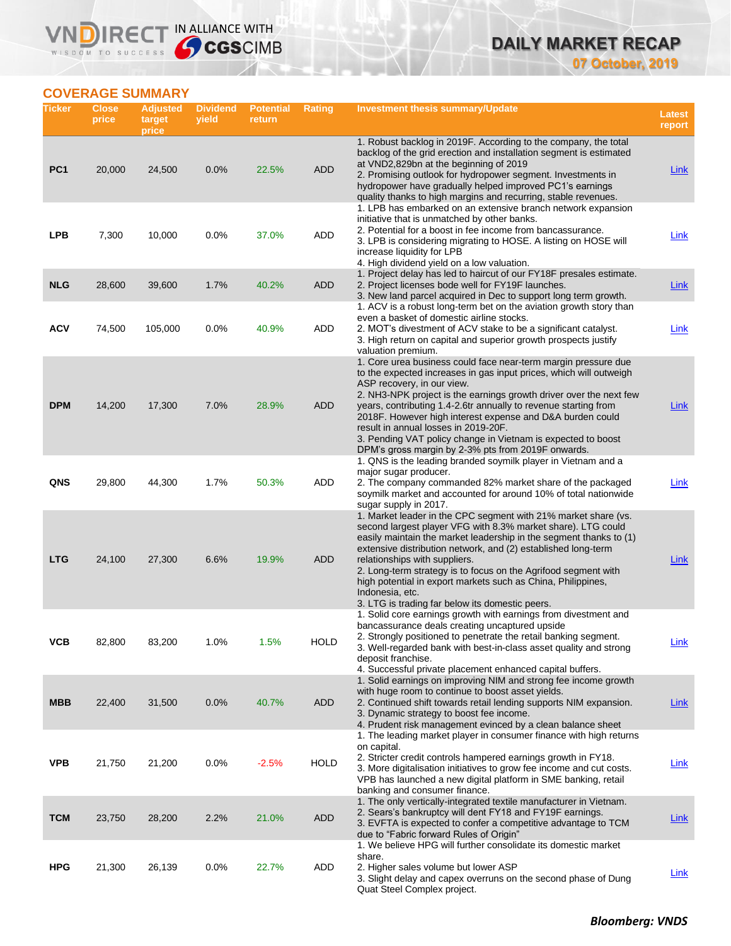# **DAILY MARKET RECAP 07 October, 2019**

# **COVERAGE SUMMARY**

WISDOM TO SUCCESS

VND

IRECT IN ALLIANCE WITH

| Ticker          | <b>Close</b><br>price | <b>Adjusted</b><br>target<br>price | <b>Dividend</b><br>yield | <b>Potential</b><br>return | <b>Rating</b> | Investment thesis summary/Update                                                                                                                                                                                                                                                                                                                                                                                                                                                                                                       | Latest<br>report |
|-----------------|-----------------------|------------------------------------|--------------------------|----------------------------|---------------|----------------------------------------------------------------------------------------------------------------------------------------------------------------------------------------------------------------------------------------------------------------------------------------------------------------------------------------------------------------------------------------------------------------------------------------------------------------------------------------------------------------------------------------|------------------|
| PC <sub>1</sub> | 20,000                | 24,500                             | 0.0%                     | 22.5%                      | <b>ADD</b>    | 1. Robust backlog in 2019F. According to the company, the total<br>backlog of the grid erection and installation segment is estimated<br>at VND2,829bn at the beginning of 2019<br>2. Promising outlook for hydropower segment. Investments in<br>hydropower have gradually helped improved PC1's earnings<br>quality thanks to high margins and recurring, stable revenues.<br>1. LPB has embarked on an extensive branch network expansion                                                                                           | <b>Link</b>      |
| <b>LPB</b>      | 7,300                 | 10,000                             | 0.0%                     | 37.0%                      | ADD           | initiative that is unmatched by other banks.<br>2. Potential for a boost in fee income from bancassurance.<br>3. LPB is considering migrating to HOSE. A listing on HOSE will<br>increase liquidity for LPB                                                                                                                                                                                                                                                                                                                            | Link             |
| <b>NLG</b>      | 28,600                | 39,600                             | 1.7%                     | 40.2%                      | <b>ADD</b>    | 4. High dividend yield on a low valuation.<br>1. Project delay has led to haircut of our FY18F presales estimate.<br>2. Project licenses bode well for FY19F launches.<br>3. New land parcel acquired in Dec to support long term growth.<br>1. ACV is a robust long-term bet on the aviation growth story than                                                                                                                                                                                                                        | <b>Link</b>      |
| <b>ACV</b>      | 74,500                | 105,000                            | 0.0%                     | 40.9%                      | ADD           | even a basket of domestic airline stocks.<br>2. MOT's divestment of ACV stake to be a significant catalyst.<br>3. High return on capital and superior growth prospects justify<br>valuation premium.                                                                                                                                                                                                                                                                                                                                   | <b>Link</b>      |
| <b>DPM</b>      | 14,200                | 17,300                             | 7.0%                     | 28.9%                      | <b>ADD</b>    | 1. Core urea business could face near-term margin pressure due<br>to the expected increases in gas input prices, which will outweigh<br>ASP recovery, in our view.<br>2. NH3-NPK project is the earnings growth driver over the next few<br>years, contributing 1.4-2.6tr annually to revenue starting from<br>2018F. However high interest expense and D&A burden could<br>result in annual losses in 2019-20F.<br>3. Pending VAT policy change in Vietnam is expected to boost<br>DPM's gross margin by 2-3% pts from 2019F onwards. | Link             |
| QNS             | 29,800                | 44,300                             | 1.7%                     | 50.3%                      | ADD           | 1. QNS is the leading branded soymilk player in Vietnam and a<br>major sugar producer.<br>2. The company commanded 82% market share of the packaged<br>soymilk market and accounted for around 10% of total nationwide<br>sugar supply in 2017.                                                                                                                                                                                                                                                                                        | Link             |
| <b>LTG</b>      | 24,100                | 27,300                             | 6.6%                     | 19.9%                      | <b>ADD</b>    | 1. Market leader in the CPC segment with 21% market share (vs.<br>second largest player VFG with 8.3% market share). LTG could<br>easily maintain the market leadership in the segment thanks to (1)<br>extensive distribution network, and (2) established long-term<br>relationships with suppliers.<br>2. Long-term strategy is to focus on the Agrifood segment with<br>high potential in export markets such as China, Philippines,<br>Indonesia, etc.<br>3. LTG is trading far below its domestic peers.                         | Link             |
| VCB             | 82,800                | 83,200                             | 1.0%                     | 1.5%                       | <b>HOLD</b>   | 1. Solid core earnings growth with earnings from divestment and<br>bancassurance deals creating uncaptured upside<br>2. Strongly positioned to penetrate the retail banking segment.<br>3. Well-regarded bank with best-in-class asset quality and strong<br>deposit franchise.<br>4. Successful private placement enhanced capital buffers.                                                                                                                                                                                           | <u>Link</u>      |
| <b>MBB</b>      | 22,400                | 31,500                             | 0.0%                     | 40.7%                      | <b>ADD</b>    | 1. Solid earnings on improving NIM and strong fee income growth<br>with huge room to continue to boost asset yields.<br>2. Continued shift towards retail lending supports NIM expansion.<br>3. Dynamic strategy to boost fee income.<br>4. Prudent risk management evinced by a clean balance sheet                                                                                                                                                                                                                                   | Link             |
| <b>VPB</b>      | 21,750                | 21,200                             | 0.0%                     | $-2.5%$                    | <b>HOLD</b>   | 1. The leading market player in consumer finance with high returns<br>on capital.<br>2. Stricter credit controls hampered earnings growth in FY18.<br>3. More digitalisation initiatives to grow fee income and cut costs.<br>VPB has launched a new digital platform in SME banking, retail<br>banking and consumer finance.                                                                                                                                                                                                          | <b>Link</b>      |
| <b>TCM</b>      | 23,750                | 28,200                             | 2.2%                     | 21.0%                      | <b>ADD</b>    | 1. The only vertically-integrated textile manufacturer in Vietnam.<br>2. Sears's bankruptcy will dent FY18 and FY19F earnings.<br>3. EVFTA is expected to confer a competitive advantage to TCM<br>due to "Fabric forward Rules of Origin"                                                                                                                                                                                                                                                                                             | <b>Link</b>      |
| <b>HPG</b>      | 21,300                | 26,139                             | 0.0%                     | 22.7%                      | ADD           | 1. We believe HPG will further consolidate its domestic market<br>share.<br>2. Higher sales volume but lower ASP<br>3. Slight delay and capex overruns on the second phase of Dung<br>Quat Steel Complex project.                                                                                                                                                                                                                                                                                                                      | <b>Link</b>      |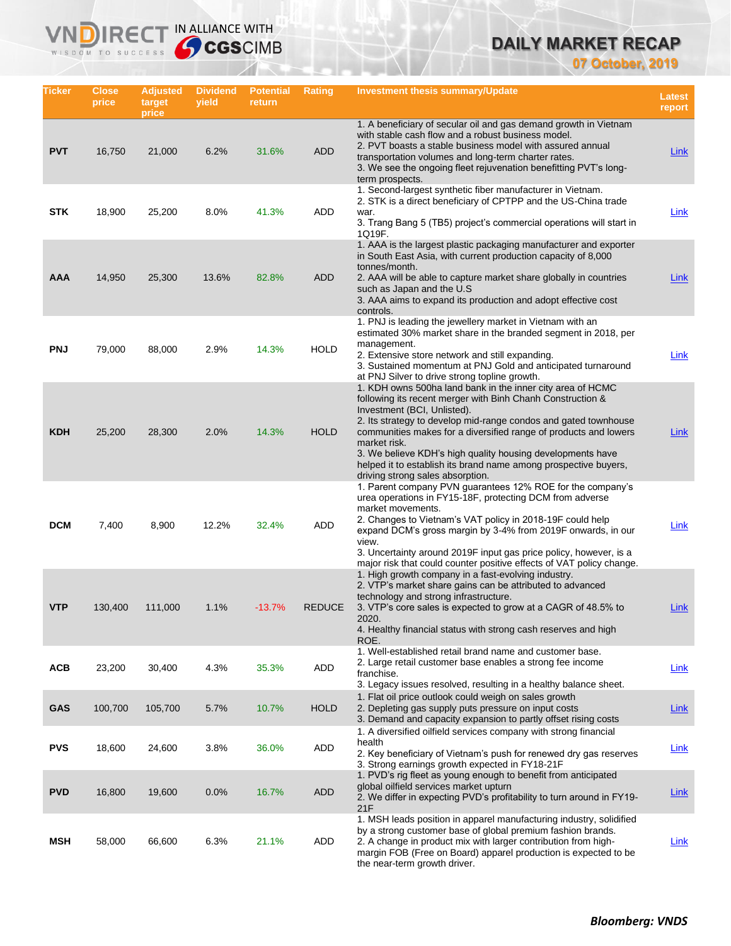# **DAILY MARKET RECAP**

**07 October, 2019**

| Ticker     | <b>Close</b><br>price | <b>Adjusted</b><br>target<br>price | <b>Dividend</b><br>yield | <b>Potential</b><br>return | Rating        | Investment thesis summary/Update                                                                                                                                                                                                                                                                                                                                                                                                                                                    | Latest<br>report |
|------------|-----------------------|------------------------------------|--------------------------|----------------------------|---------------|-------------------------------------------------------------------------------------------------------------------------------------------------------------------------------------------------------------------------------------------------------------------------------------------------------------------------------------------------------------------------------------------------------------------------------------------------------------------------------------|------------------|
| <b>PVT</b> | 16,750                | 21,000                             | 6.2%                     | 31.6%                      | <b>ADD</b>    | 1. A beneficiary of secular oil and gas demand growth in Vietnam<br>with stable cash flow and a robust business model.<br>2. PVT boasts a stable business model with assured annual<br>transportation volumes and long-term charter rates.<br>3. We see the ongoing fleet rejuvenation benefitting PVT's long-<br>term prospects.                                                                                                                                                   | Link             |
| <b>STK</b> | 18,900                | 25,200                             | 8.0%                     | 41.3%                      | ADD           | 1. Second-largest synthetic fiber manufacturer in Vietnam.<br>2. STK is a direct beneficiary of CPTPP and the US-China trade<br>war.<br>3. Trang Bang 5 (TB5) project's commercial operations will start in<br>1Q19F.                                                                                                                                                                                                                                                               | Link             |
| <b>AAA</b> | 14,950                | 25,300                             | 13.6%                    | 82.8%                      | <b>ADD</b>    | 1. AAA is the largest plastic packaging manufacturer and exporter<br>in South East Asia, with current production capacity of 8,000<br>tonnes/month.<br>2. AAA will be able to capture market share globally in countries<br>such as Japan and the U.S.<br>3. AAA aims to expand its production and adopt effective cost<br>controls.                                                                                                                                                | Link             |
| <b>PNJ</b> | 79.000                | 88,000                             | 2.9%                     | 14.3%                      | <b>HOLD</b>   | 1. PNJ is leading the jewellery market in Vietnam with an<br>estimated 30% market share in the branded segment in 2018, per<br>management.<br>2. Extensive store network and still expanding.<br>3. Sustained momentum at PNJ Gold and anticipated turnaround<br>at PNJ Silver to drive strong topline growth.                                                                                                                                                                      | <b>Link</b>      |
| <b>KDH</b> | 25,200                | 28,300                             | 2.0%                     | 14.3%                      | <b>HOLD</b>   | 1. KDH owns 500ha land bank in the inner city area of HCMC<br>following its recent merger with Binh Chanh Construction &<br>Investment (BCI, Unlisted).<br>2. Its strategy to develop mid-range condos and gated townhouse<br>communities makes for a diversified range of products and lowers<br>market risk.<br>3. We believe KDH's high quality housing developments have<br>helped it to establish its brand name among prospective buyers,<br>driving strong sales absorption. | Link             |
| <b>DCM</b> | 7,400                 | 8,900                              | 12.2%                    | 32.4%                      | ADD           | 1. Parent company PVN guarantees 12% ROE for the company's<br>urea operations in FY15-18F, protecting DCM from adverse<br>market movements.<br>2. Changes to Vietnam's VAT policy in 2018-19F could help<br>expand DCM's gross margin by 3-4% from 2019F onwards, in our<br>view.<br>3. Uncertainty around 2019F input gas price policy, however, is a<br>major risk that could counter positive effects of VAT policy change.                                                      | Link             |
| <b>VTP</b> | 130,400               | 111,000                            | 1.1%                     | $-13.7%$                   | <b>REDUCE</b> | 1. High growth company in a fast-evolving industry.<br>2. VTP's market share gains can be attributed to advanced<br>technology and strong infrastructure.<br>3. VTP's core sales is expected to grow at a CAGR of 48.5% to<br>2020.<br>4. Healthy financial status with strong cash reserves and high<br>ROE.                                                                                                                                                                       | Link             |
| <b>ACB</b> | 23,200                | 30,400                             | 4.3%                     | 35.3%                      | ADD           | 1. Well-established retail brand name and customer base.<br>2. Large retail customer base enables a strong fee income<br>franchise.<br>3. Legacy issues resolved, resulting in a healthy balance sheet.                                                                                                                                                                                                                                                                             | <b>Link</b>      |
| <b>GAS</b> | 100,700               | 105,700                            | 5.7%                     | 10.7%                      | <b>HOLD</b>   | 1. Flat oil price outlook could weigh on sales growth<br>2. Depleting gas supply puts pressure on input costs<br>3. Demand and capacity expansion to partly offset rising costs                                                                                                                                                                                                                                                                                                     | <b>Link</b>      |
| <b>PVS</b> | 18,600                | 24,600                             | 3.8%                     | 36.0%                      | ADD           | 1. A diversified oilfield services company with strong financial<br>health<br>2. Key beneficiary of Vietnam's push for renewed dry gas reserves<br>3. Strong earnings growth expected in FY18-21F                                                                                                                                                                                                                                                                                   | Link             |
| <b>PVD</b> | 16,800                | 19,600                             | 0.0%                     | 16.7%                      | ADD           | 1. PVD's rig fleet as young enough to benefit from anticipated<br>global oilfield services market upturn<br>2. We differ in expecting PVD's profitability to turn around in FY19-<br>21F                                                                                                                                                                                                                                                                                            | <b>Link</b>      |
| MSH        | 58,000                | 66,600                             | 6.3%                     | 21.1%                      | ADD           | 1. MSH leads position in apparel manufacturing industry, solidified<br>by a strong customer base of global premium fashion brands.<br>2. A change in product mix with larger contribution from high-<br>margin FOB (Free on Board) apparel production is expected to be<br>the near-term growth driver.                                                                                                                                                                             | <b>Link</b>      |

IRECT IN ALLIANCE WITH

**VND** 

WISDOM TO SUCCESS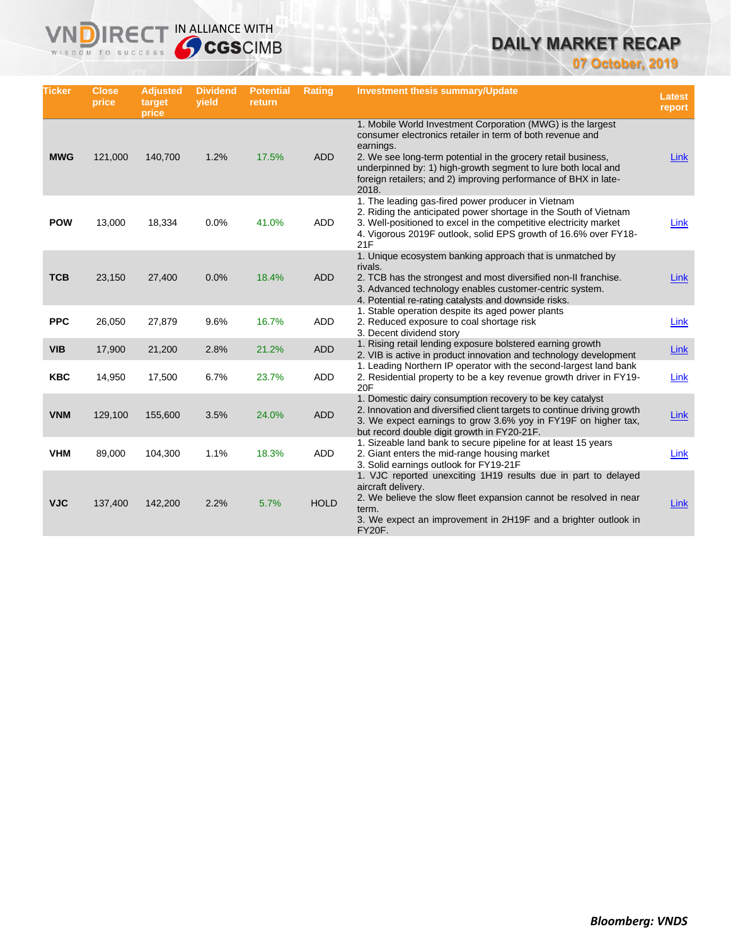# **DAILY MARKET RECAP**

**07 October, 2019**

| <b>Ticker</b> | <b>Close</b><br>price | <b>Adjusted</b><br>target<br>price | <b>Dividend</b><br>yield | <b>Potential</b><br>return | Rating      | <b>Investment thesis summary/Update</b>                                                                                                                                                                                                                                                                                                             | <b>Latest</b><br>report |
|---------------|-----------------------|------------------------------------|--------------------------|----------------------------|-------------|-----------------------------------------------------------------------------------------------------------------------------------------------------------------------------------------------------------------------------------------------------------------------------------------------------------------------------------------------------|-------------------------|
| <b>MWG</b>    | 121,000               | 140,700                            | 1.2%                     | 17.5%                      | <b>ADD</b>  | 1. Mobile World Investment Corporation (MWG) is the largest<br>consumer electronics retailer in term of both revenue and<br>earnings.<br>2. We see long-term potential in the grocery retail business,<br>underpinned by: 1) high-growth segment to lure both local and<br>foreign retailers; and 2) improving performance of BHX in late-<br>2018. | Link                    |
| <b>POW</b>    | 13,000                | 18,334                             | 0.0%                     | 41.0%                      | <b>ADD</b>  | 1. The leading gas-fired power producer in Vietnam<br>2. Riding the anticipated power shortage in the South of Vietnam<br>3. Well-positioned to excel in the competitive electricity market<br>4. Vigorous 2019F outlook, solid EPS growth of 16.6% over FY18-<br>21F                                                                               | <b>Link</b>             |
| <b>TCB</b>    | 23,150                | 27,400                             | 0.0%                     | 18.4%                      | <b>ADD</b>  | 1. Unique ecosystem banking approach that is unmatched by<br>rivals.<br>2. TCB has the strongest and most diversified non-II franchise.<br>3. Advanced technology enables customer-centric system.<br>4. Potential re-rating catalysts and downside risks.                                                                                          | Link                    |
| <b>PPC</b>    | 26,050                | 27,879                             | 9.6%                     | 16.7%                      | <b>ADD</b>  | 1. Stable operation despite its aged power plants<br>2. Reduced exposure to coal shortage risk<br>3. Decent dividend story                                                                                                                                                                                                                          | Link                    |
| <b>VIB</b>    | 17,900                | 21,200                             | 2.8%                     | 21.2%                      | <b>ADD</b>  | 1. Rising retail lending exposure bolstered earning growth<br>2. VIB is active in product innovation and technology development                                                                                                                                                                                                                     | <b>Link</b>             |
| <b>KBC</b>    | 14,950                | 17,500                             | 6.7%                     | 23.7%                      | ADD         | 1. Leading Northern IP operator with the second-largest land bank<br>2. Residential property to be a key revenue growth driver in FY19-<br>20F                                                                                                                                                                                                      | Link                    |
| <b>VNM</b>    | 129,100               | 155,600                            | 3.5%                     | 24.0%                      | <b>ADD</b>  | 1. Domestic dairy consumption recovery to be key catalyst<br>2. Innovation and diversified client targets to continue driving growth<br>3. We expect earnings to grow 3.6% yoy in FY19F on higher tax,<br>but record double digit growth in FY20-21F.                                                                                               | Link                    |
| <b>VHM</b>    | 89,000                | 104,300                            | 1.1%                     | 18.3%                      | <b>ADD</b>  | 1. Sizeable land bank to secure pipeline for at least 15 years<br>2. Giant enters the mid-range housing market<br>3. Solid earnings outlook for FY19-21F                                                                                                                                                                                            | Link                    |
| <b>VJC</b>    | 137,400               | 142,200                            | 2.2%                     | 5.7%                       | <b>HOLD</b> | 1. VJC reported unexciting 1H19 results due in part to delayed<br>aircraft delivery.<br>2. We believe the slow fleet expansion cannot be resolved in near<br>term.<br>3. We expect an improvement in 2H19F and a brighter outlook in<br>FY20F.                                                                                                      | Link                    |

**VNDIRECT IN ALLIANCE WITH**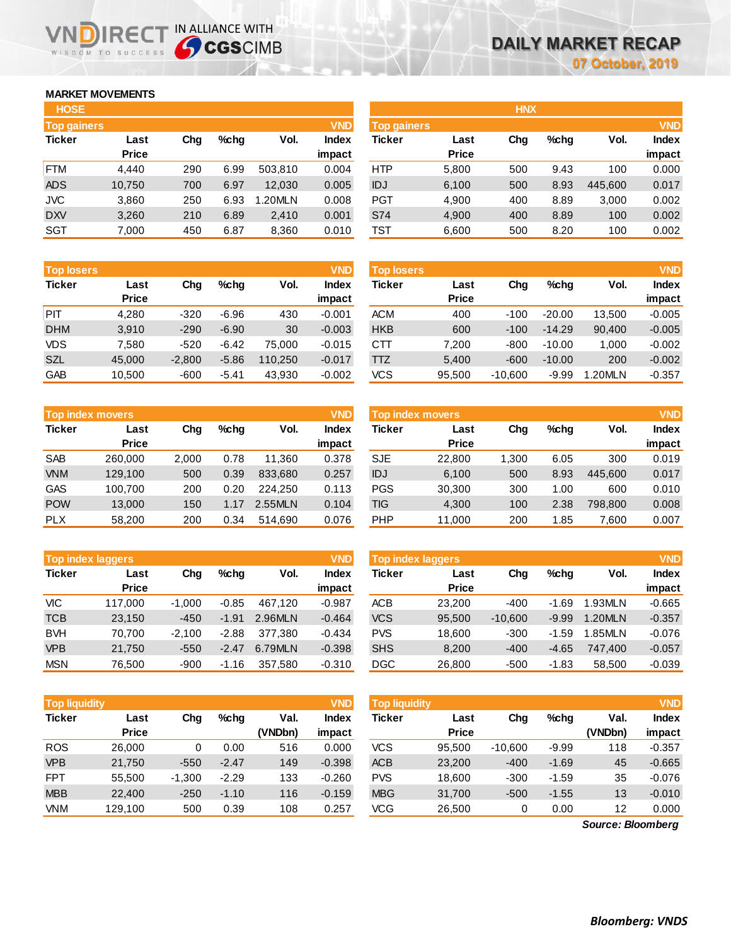## **MARKET MOVEMENTS**

WISDOM TO SUCCESS

| <b>HOSE</b>        |              |     |      |         |              |
|--------------------|--------------|-----|------|---------|--------------|
| <b>Top gainers</b> |              |     |      |         | <b>VND</b>   |
| <b>Ticker</b>      | Last         | Cha | %chq | Vol.    | <b>Index</b> |
|                    | <b>Price</b> |     |      |         | impact       |
| FTM                | 4.440        | 290 | 6.99 | 503,810 | 0.004        |
| <b>ADS</b>         | 10,750       | 700 | 6.97 | 12,030  | 0.005        |
| <b>JVC</b>         | 3,860        | 250 | 6.93 | 1.20MLN | 0.008        |
| <b>DXV</b>         | 3,260        | 210 | 6.89 | 2,410   | 0.001        |
| <b>SGT</b>         | 7,000        | 450 | 6.87 | 8,360   | 0.010        |

**VNDIRECT IN ALLIANCE WITH** 

| --                | .            | $\sim$   |         | <u></u> |              | .                 | <b>01000</b> | ---       | ---      | .      | ----       |
|-------------------|--------------|----------|---------|---------|--------------|-------------------|--------------|-----------|----------|--------|------------|
|                   |              |          |         |         |              |                   |              |           |          |        |            |
| <b>Top losers</b> |              |          |         |         | <b>VND</b>   | <b>Top losers</b> |              |           |          |        | <b>VND</b> |
| <b>Ticker</b>     | Last         | Chg      | $%$ chg | Vol.    | <b>Index</b> | Ticker            | Last         | Chg       | $%$ chg  | Vol.   | Index      |
|                   | <b>Price</b> |          |         |         | impact       |                   | <b>Price</b> |           |          |        | impact     |
| PIT               | 4,280        | $-320$   | $-6.96$ | 430     | $-0.001$     | <b>ACM</b>        | 400          | $-100$    | $-20.00$ | 13.500 | $-0.005$   |
| <b>DHM</b>        | 3,910        | $-290$   | $-6.90$ | 30      | $-0.003$     | <b>HKB</b>        | 600          | $-100$    | $-14.29$ | 90,400 | $-0.005$   |
| <b>VDS</b>        | 7,580        | $-520$   | $-6.42$ | 75,000  | $-0.015$     | CTT               | 7,200        | $-800$    | $-10.00$ | 1,000  | $-0.002$   |
| <b>SZL</b>        | 45,000       | $-2,800$ | $-5.86$ | 110,250 | $-0.017$     | <b>TTZ</b>        | 5.400        | $-600$    | $-10.00$ | 200    | $-0.002$   |
| GAB               | 10,500       | -600     | $-541$  | 43.930  | -0.002       | VCS               | 95.500       | $-10.600$ | $-9.99$  | 20MLN  | $-0.357$   |

|               | <b>Top index movers</b> |       |         |         | <b>VND</b>   |
|---------------|-------------------------|-------|---------|---------|--------------|
| <b>Ticker</b> | Last                    | Cha   | $%$ chq | Vol.    | <b>Index</b> |
|               | <b>Price</b>            |       |         |         | impact       |
| <b>SAB</b>    | 260,000                 | 2,000 | 0.78    | 11,360  | 0.378        |
| <b>VNM</b>    | 129,100                 | 500   | 0.39    | 833,680 | 0.257        |
| <b>GAS</b>    | 100,700                 | 200   | 0.20    | 224.250 | 0.113        |
| <b>POW</b>    | 13,000                  | 150   | 1.17    | 2.55MLN | 0.104        |
| <b>PLX</b>    | 58,200                  | 200   | 0.34    | 514.690 | 0.076        |

|               | <b>VND</b><br><b>Top index laggers</b> |          |         |         |              |  |  |  |  |  |  |  |  |
|---------------|----------------------------------------|----------|---------|---------|--------------|--|--|--|--|--|--|--|--|
| <b>Ticker</b> | Last                                   | Cha      | %chq    | Vol.    | <b>Index</b> |  |  |  |  |  |  |  |  |
|               | <b>Price</b>                           |          |         |         | impact       |  |  |  |  |  |  |  |  |
| VIC           | 117,000                                | $-1,000$ | $-0.85$ | 467.120 | $-0.987$     |  |  |  |  |  |  |  |  |
| <b>TCB</b>    | 23,150                                 | $-450$   | $-1.91$ | 2.96MLN | $-0.464$     |  |  |  |  |  |  |  |  |
| <b>BVH</b>    | 70,700                                 | $-2,100$ | $-2.88$ | 377.380 | $-0.434$     |  |  |  |  |  |  |  |  |
| <b>VPB</b>    | 21,750                                 | $-550$   | $-2.47$ | 6.79MLN | $-0.398$     |  |  |  |  |  |  |  |  |
| <b>MSN</b>    | 76,500                                 | $-900$   | $-1.16$ | 357,580 | $-0.310$     |  |  |  |  |  |  |  |  |

| <b>HOSE</b>        |              |     |         |         |              | <b>HNX</b>         |              |     |         |         |              |
|--------------------|--------------|-----|---------|---------|--------------|--------------------|--------------|-----|---------|---------|--------------|
| <b>Top gainers</b> |              |     |         |         | <b>VND</b>   | <b>Top gainers</b> |              |     |         |         | <b>VND</b>   |
| Ticker             | Last         | Chg | $%$ chq | Vol.    | <b>Index</b> | Ticker             | Last         | Chg | $%$ chg | Vol.    | <b>Index</b> |
|                    | <b>Price</b> |     |         |         | impact       |                    | <b>Price</b> |     |         |         | impact       |
| <b>FTM</b>         | 4,440        | 290 | 6.99    | 503.810 | 0.004        | <b>HTP</b>         | 5,800        | 500 | 9.43    | 100     | 0.000        |
| ADS                | 10,750       | 700 | 6.97    | 12,030  | 0.005        | IDJ                | 6,100        | 500 | 8.93    | 445.600 | 0.017        |
| JVC                | 3,860        | 250 | 6.93    | 1.20MLN | 0.008        | <b>PGT</b>         | 4,900        | 400 | 8.89    | 3,000   | 0.002        |
| <b>DXV</b>         | 3,260        | 210 | 6.89    | 2,410   | 0.001        | S74                | 4,900        | 400 | 8.89    | 100     | 0.002        |
| SGT                | 7,000        | 450 | 6.87    | 8,360   | 0.010        | TST                | 6,600        | 500 | 8.20    | 100     | 0.002        |

| <b>Top losers</b> |              |          |         |         | <b>VND</b>   | <b>Top losers</b> |              |           |          |               | <b>VND</b>   |
|-------------------|--------------|----------|---------|---------|--------------|-------------------|--------------|-----------|----------|---------------|--------------|
| <b>Ticker</b>     | Last         | Chg      | $%$ chq | Vol.    | <b>Index</b> | Ticker            | Last         | Chg       | $%$ chq  | Vol.          | <b>Index</b> |
|                   | <b>Price</b> |          |         |         | impact       |                   | <b>Price</b> |           |          |               | impact       |
| PIT               | 4,280        | $-320$   | $-6.96$ | 430     | $-0.001$     | <b>ACM</b>        | 400          | -100      | $-20.00$ | 13.500        | $-0.005$     |
| <b>DHM</b>        | 3,910        | $-290$   | $-6.90$ | 30      | $-0.003$     | <b>HKB</b>        | 600          | $-100$    | $-14.29$ | 90,400        | $-0.005$     |
| VDS               | 7.580        | $-520$   | $-6.42$ | 75.000  | $-0.015$     | CTT               | 7,200        | -800      | $-10.00$ | 1,000         | $-0.002$     |
| <b>SZL</b>        | 45,000       | $-2.800$ | $-5.86$ | 110.250 | $-0.017$     | TTZ               | 5.400        | $-600$    | $-10.00$ | 200           | $-0.002$     |
| GAB               | 10,500       | $-600$   | $-5.41$ | 43,930  | $-0.002$     | <b>VCS</b>        | 95.500       | $-10.600$ | $-9.99$  | <b>.20MLN</b> | $-0.357$     |
|                   |              |          |         |         |              |                   |              |           |          |               |              |

| <b>VND</b><br>Top index movers |              |       |      |         |              | Top index movers |              |       |         |         |              |
|--------------------------------|--------------|-------|------|---------|--------------|------------------|--------------|-------|---------|---------|--------------|
| Ticker                         | Last         | Chg   | %chq | Vol.    | <b>Index</b> | Ticker           | Last         | Chg   | $%$ chq | Vol.    | <b>Index</b> |
|                                | <b>Price</b> |       |      |         | impact       |                  | <b>Price</b> |       |         |         | impact       |
| <b>SAB</b>                     | 260,000      | 2.000 | 0.78 | 11.360  | 0.378        | <b>SJE</b>       | 22,800       | 1.300 | 6.05    | 300     | 0.019        |
| <b>VNM</b>                     | 129,100      | 500   | 0.39 | 833.680 | 0.257        | IDJ              | 6,100        | 500   | 8.93    | 445.600 | 0.017        |
| GAS                            | 100.700      | 200   | 0.20 | 224.250 | 0.113        | <b>PGS</b>       | 30.300       | 300   | 1.00    | 600     | 0.010        |
| <b>POW</b>                     | 13.000       | 150   | 1.17 | 2.55MLN | 0.104        | TIG              | 4,300        | 100   | 2.38    | 798.800 | 0.008        |
| <b>PLX</b>                     | 58,200       | 200   | 0.34 | 514,690 | 0.076        | <b>PHP</b>       | 11,000       | 200   | 1.85    | 7,600   | 0.007        |

|            | <b>Top index laggers</b> |          |         |         | <b>VND</b>   | <b>Top index laggers</b> |              |           |         |         |              |
|------------|--------------------------|----------|---------|---------|--------------|--------------------------|--------------|-----------|---------|---------|--------------|
| Ticker     | Last                     | Chg      | $%$ chq | Vol.    | <b>Index</b> | Ticker                   | Last         | Chg       | $%$ chq | Vol.    | <b>Index</b> |
|            | <b>Price</b>             |          |         |         | impact       |                          | <b>Price</b> |           |         |         | impact       |
| VIC        | 117.000                  | $-1.000$ | $-0.85$ | 467.120 | $-0.987$     | <b>ACB</b>               | 23,200       | $-400$    | $-1.69$ | 1.93MLN | $-0.665$     |
| TCB        | 23.150                   | $-450$   | $-1.91$ | 2.96MLN | $-0.464$     | <b>VCS</b>               | 95.500       | $-10.600$ | $-9.99$ | 1.20MLN | $-0.357$     |
| <b>BVH</b> | 70.700                   | $-2.100$ | $-2.88$ | 377.380 | $-0.434$     | <b>PVS</b>               | 18.600       | $-300$    | $-1.59$ | 1.85MLN | $-0.076$     |
| <b>VPB</b> | 21,750                   | $-550$   | $-2.47$ | 6.79MLN | $-0.398$     | <b>SHS</b>               | 8,200        | $-400$    | $-4.65$ | 747.400 | $-0.057$     |
| <b>MSN</b> | 76.500                   | $-900$   | $-1.16$ | 357.580 | $-0.310$     | <b>DGC</b>               | 26,800       | $-500$    | $-1.83$ | 58,500  | $-0.039$     |

| <b>Top liquidity</b> |              |          |         |         | <b>VND</b>   | Top liquidity |              |           |         |                   | <b>VND</b> |
|----------------------|--------------|----------|---------|---------|--------------|---------------|--------------|-----------|---------|-------------------|------------|
| Ticker               | Last         | Chg      | $%$ chq | Val.    | <b>Index</b> | <b>Ticker</b> | Last         | Chg       | $%$ chq | Val.              | Index      |
|                      | <b>Price</b> |          |         | (VNDbn) | impact       |               | <b>Price</b> |           |         | (VNDbn)           | impact     |
| <b>ROS</b>           | 26.000       | 0        | 0.00    | 516     | 0.000        | <b>VCS</b>    | 95.500       | $-10,600$ | $-9.99$ | 118               | $-0.357$   |
| <b>VPB</b>           | 21,750       | $-550$   | $-2.47$ | 149     | $-0.398$     | <b>ACB</b>    | 23,200       | $-400$    | $-1.69$ | 45                | $-0.665$   |
| <b>FPT</b>           | 55,500       | $-1,300$ | $-2.29$ | 133     | $-0.260$     | <b>PVS</b>    | 18.600       | $-300$    | $-1.59$ | 35                | $-0.076$   |
| <b>MBB</b>           | 22,400       | $-250$   | $-1.10$ | 116     | $-0.159$     | <b>MBG</b>    | 31,700       | $-500$    | $-1.55$ | 13                | $-0.010$   |
| <b>VNM</b>           | 129,100      | 500      | 0.39    | 108     | 0.257        | <b>VCG</b>    | 26,500       | 0         | 0.00    | 12                | 0.000      |
|                      |              |          |         |         |              |               |              |           |         | Source: Bloomberg |            |

*Source: Bloomberg*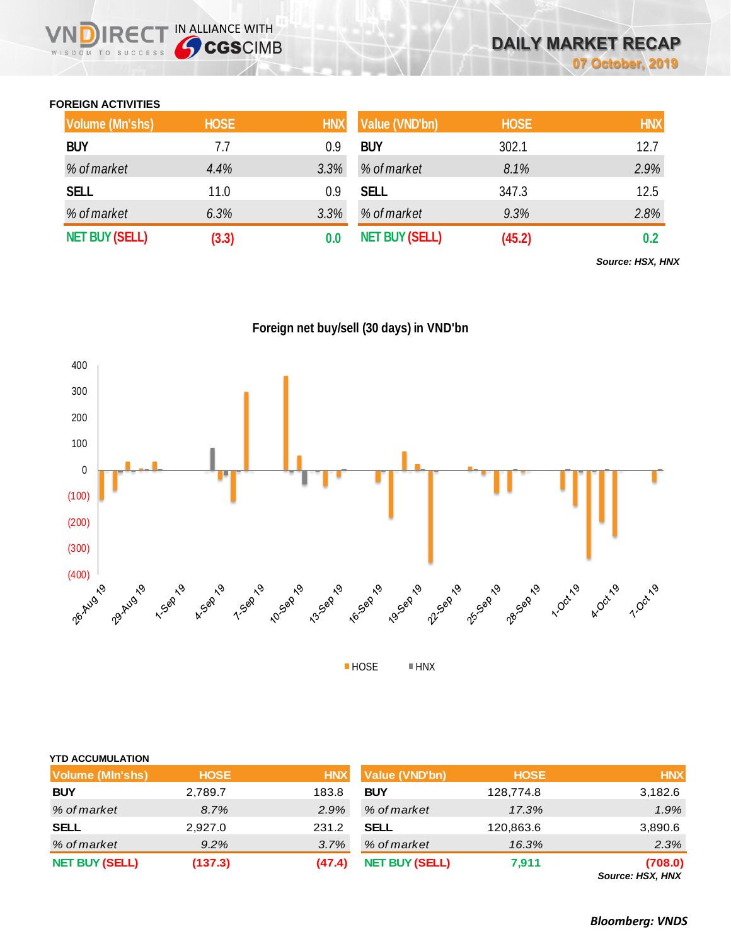## **FOREIGN ACTIVITIES**

WISDOM TO SUCCESS

 $R \in C$ 

IN ALLIANCE WITH

| <b>Volume (Mn'shs)</b> | <b>HOSE</b> | <b>HNX</b> | Value (VND'bn)        | <b>HOSE</b> | <b>HNX</b> |
|------------------------|-------------|------------|-----------------------|-------------|------------|
| <b>BUY</b>             | 7.7         | 0.9        | <b>BUY</b>            | 302.1       | 12.7       |
| % of market            | 4.4%        | 3.3%       | % of market           | 8.1%        | 2.9%       |
| <b>SELL</b>            | 11.0        | 0.9        | <b>SELL</b>           | 347.3       | 12.5       |
| % of market            | 6.3%        | 3.3%       | % of market           | 9.3%        | 2.8%       |
| <b>NET BUY (SELL)</b>  | (3.3)       |            | <b>NET BUY (SELL)</b> | (45.2)      | 0.2        |

*Source: HSX, HNX*





| <b>Volume (MIn'shs)</b> | <b>HOSE</b> | <b>HNX</b> | <b>Value (VND'bn)</b> | <b>HOSE</b> | <b>HNX</b>                  |
|-------------------------|-------------|------------|-----------------------|-------------|-----------------------------|
| <b>BUY</b>              | 2,789.7     | 183.8      | <b>BUY</b>            | 128,774.8   | 3,182.6                     |
| % of market             | 8.7%        | 2.9%       | % of market           | 17.3%       | 1.9%                        |
| <b>SELL</b>             | 2,927.0     | 231.2      | <b>SELL</b>           | 120,863.6   | 3,890.6                     |
| % of market             | $9.2\%$     | 3.7%       | % of market           | 16.3%       | 2.3%                        |
| <b>NET BUY (SELL)</b>   | (137.3)     | (47.4)     | <b>NET BUY (SELL)</b> | 7,911       | (708.0)<br>Source: HSX, HNX |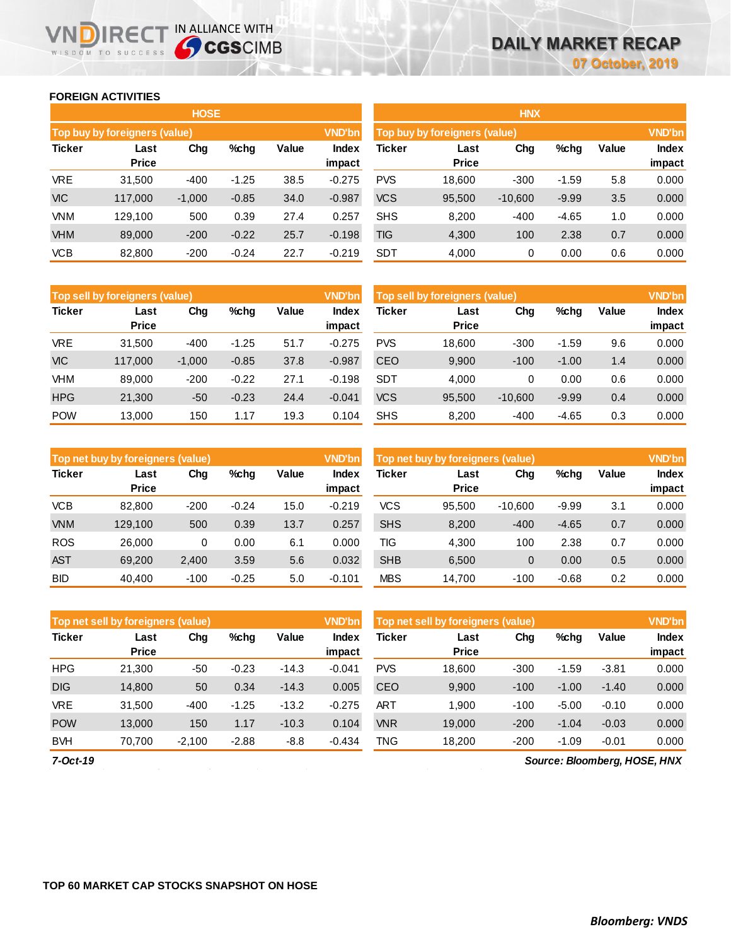## **FOREIGN ACTIVITIES**

WISDOM TO SUCCESS

**NDIRECT IN ALLIANCE WITH** 

|               |                                                 | <b>HOSE</b> |         |      |                 | <b>HNX</b>                                     |                      |           |         |       |                        |  |
|---------------|-------------------------------------------------|-------------|---------|------|-----------------|------------------------------------------------|----------------------|-----------|---------|-------|------------------------|--|
|               | Top buy by foreigners (value)                   |             |         |      | <b>VND'bn</b>   | <b>VND'bn</b><br>Top buy by foreigners (value) |                      |           |         |       |                        |  |
| <b>Ticker</b> | Chg<br>Value<br>$%$ chg<br>Last<br><b>Price</b> |             |         |      | Index<br>impact | Ticker                                         | Last<br><b>Price</b> | Chg       | %chg    | Value | <b>Index</b><br>impact |  |
| <b>VRE</b>    | 31.500                                          | $-400$      | $-1.25$ | 38.5 | $-0.275$        | <b>PVS</b>                                     | 18,600               | $-300$    | $-1.59$ | 5.8   | 0.000                  |  |
| <b>VIC</b>    | 117,000                                         | $-1,000$    | $-0.85$ | 34.0 | $-0.987$        | <b>VCS</b>                                     | 95,500               | $-10,600$ | $-9.99$ | 3.5   | 0.000                  |  |
| <b>VNM</b>    | 129.100                                         | 500         | 0.39    | 27.4 | 0.257           | <b>SHS</b>                                     | 8,200                | $-400$    | $-4.65$ | 1.0   | 0.000                  |  |
| <b>VHM</b>    | 89,000                                          | $-200$      | $-0.22$ | 25.7 | $-0.198$        | <b>TIG</b>                                     | 4,300                | 100       | 2.38    | 0.7   | 0.000                  |  |
| <b>VCB</b>    | 82,800                                          | $-200$      | $-0.24$ | 22.7 | $-0.219$        | <b>SDT</b>                                     | 4,000                | 0         | 0.00    | 0.6   | 0.000                  |  |

|               | Top sell by foreigners (value) |          |         |       | <b>VND'bn</b>          | Top sell by foreigners (value) |                      | <b>VND'bn</b> |         |       |                        |
|---------------|--------------------------------|----------|---------|-------|------------------------|--------------------------------|----------------------|---------------|---------|-------|------------------------|
| <b>Ticker</b> | Last<br><b>Price</b>           | Chg      | %chg    | Value | <b>Index</b><br>impact | <b>Ticker</b>                  | Last<br><b>Price</b> | Chg           | %chg    | Value | <b>Index</b><br>impact |
| <b>VRE</b>    | 31.500                         | $-400$   | $-1.25$ | 51.7  | $-0.275$               | <b>PVS</b>                     | 18,600               | $-300$        | $-1.59$ | 9.6   | 0.000                  |
| <b>VIC</b>    | 117.000                        | $-1,000$ | $-0.85$ | 37.8  | $-0.987$               | CEO                            | 9,900                | $-100$        | $-1.00$ | 1.4   | 0.000                  |
| VHM           | 89,000                         | $-200$   | $-0.22$ | 27.1  | $-0.198$               | <b>SDT</b>                     | 4.000                | 0             | 0.00    | 0.6   | 0.000                  |
| <b>HPG</b>    | 21,300                         | $-50$    | $-0.23$ | 24.4  | $-0.041$               | <b>VCS</b>                     | 95,500               | $-10.600$     | $-9.99$ | 0.4   | 0.000                  |
| <b>POW</b>    | 13,000                         | 150      | 1.17    | 19.3  | 0.104                  | <b>SHS</b>                     | 8,200                | $-400$        | $-4.65$ | 0.3   | 0.000                  |

|               | Top net buy by foreigners (value) |        |         |       | <b>VND'bn</b>          | Top net buy by foreigners (value) | <b>VND'bn</b>        |           |         |       |                        |
|---------------|-----------------------------------|--------|---------|-------|------------------------|-----------------------------------|----------------------|-----------|---------|-------|------------------------|
| <b>Ticker</b> | Last<br><b>Price</b>              | Chg    | %chg    | Value | <b>Index</b><br>impact | <b>Ticker</b>                     | Last<br><b>Price</b> | Chg       | %chg    | Value | <b>Index</b><br>impact |
| <b>VCB</b>    | 82,800                            | $-200$ | $-0.24$ | 15.0  | $-0.219$               | <b>VCS</b>                        | 95.500               | $-10.600$ | $-9.99$ | 3.1   | 0.000                  |
| <b>VNM</b>    | 129.100                           | 500    | 0.39    | 13.7  | 0.257                  | <b>SHS</b>                        | 8,200                | $-400$    | $-4.65$ | 0.7   | 0.000                  |
| <b>ROS</b>    | 26,000                            | 0      | 0.00    | 6.7   | 0.000                  | TIG                               | 4.300                | 100       | 2.38    | 0.7   | 0.000                  |
| <b>AST</b>    | 69.200                            | 2,400  | 3.59    | 5.6   | 0.032                  | <b>SHB</b>                        | 6.500                | 0         | 0.00    | 0.5   | 0.000                  |
| <b>BID</b>    | 40.400                            | $-100$ | $-0.25$ | 5.0   | $-0.101$               | <b>MBS</b>                        | 14,700               | $-100$    | $-0.68$ | 0.2   | 0.000                  |

| Top net sell by foreigners (value) |                      |          |         |         | <b>VND'bn</b>   | Top net sell by foreigners (value) |                      | <b>VND'bn</b> |         |         |                 |
|------------------------------------|----------------------|----------|---------|---------|-----------------|------------------------------------|----------------------|---------------|---------|---------|-----------------|
| <b>Ticker</b>                      | Last<br><b>Price</b> | Chg      | $%$ chg | Value   | Index<br>impact | Ticker                             | Last<br><b>Price</b> | Chg           | %chg    | Value   | Index<br>impact |
| <b>HPG</b>                         | 21.300               | -50      | $-0.23$ | $-14.3$ | $-0.041$        | <b>PVS</b>                         | 18.600               | $-300$        | $-1.59$ | $-3.81$ | 0.000           |
| <b>DIG</b>                         | 14,800               | 50       | 0.34    | $-14.3$ | 0.005           | <b>CEO</b>                         | 9,900                | $-100$        | $-1.00$ | $-1.40$ | 0.000           |
| <b>VRE</b>                         | 31.500               | $-400$   | $-1.25$ | $-13.2$ | $-0.275$        | <b>ART</b>                         | 1.900                | $-100$        | $-5.00$ | $-0.10$ | 0.000           |
| <b>POW</b>                         | 13,000               | 150      | 1.17    | $-10.3$ | 0.104           | <b>VNR</b>                         | 19.000               | $-200$        | $-1.04$ | $-0.03$ | 0.000           |
| <b>BVH</b>                         | 70.700               | $-2,100$ | $-2.88$ | $-8.8$  | $-0.434$        | TNG                                | 18.200               | $-200$        | $-1.09$ | $-0.01$ | 0.000           |

*7-Oct-19*

*Source: Bloomberg, HOSE, HNX*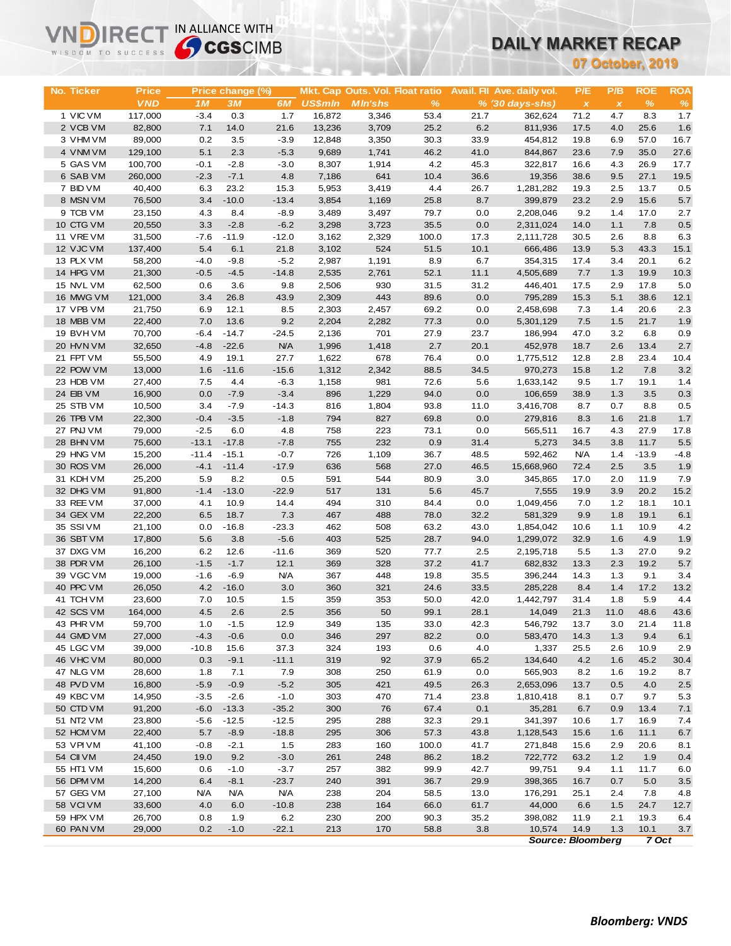# **DAILY MARKET RECAP**

| WISDOM TO SUCCESS      | <b>Sy CGS</b> CIMB |               |                  |                   |                |                                 |              | DAILY MARKET RECAP |                             |                          |                           |                  |              |
|------------------------|--------------------|---------------|------------------|-------------------|----------------|---------------------------------|--------------|--------------------|-----------------------------|--------------------------|---------------------------|------------------|--------------|
|                        |                    |               |                  |                   |                |                                 |              |                    |                             |                          |                           | 07 October, 2019 |              |
|                        |                    |               |                  |                   |                |                                 |              |                    |                             |                          |                           |                  |              |
| No. Ticker             | <b>Price</b>       |               | Price change (%) |                   |                | Mkt. Cap Outs. Vol. Float ratio |              |                    | Avail. Fil Ave. daily vol.  | P/E                      | P/B                       | <b>ROE</b>       | <b>ROA</b>   |
|                        | <b>VND</b>         | 1M            | 3M               | 6M                | <b>US\$mln</b> | <b>MIn'shs</b>                  | %            |                    | $% (30 \, \text{days-shs})$ | $\pmb{\chi}$             | $\boldsymbol{\mathsf{x}}$ | $\frac{9}{6}$    | $\%$         |
| 1 VIC VM               | 117,000            | $-3.4$        | 0.3              | 1.7               | 16,872         | 3,346                           | 53.4         | 21.7               | 362,624                     | 71.2                     | 4.7                       | 8.3              | 1.7          |
| 2 VCB VM               | 82,800             | 7.1           | 14.0             | 21.6              | 13,236         | 3,709                           | 25.2         | 6.2                | 811,936                     | 17.5                     | 4.0                       | 25.6             | 1.6          |
| 3 VHM VM               | 89,000             | 0.2           | 3.5              | $-3.9$            | 12,848         | 3,350                           | 30.3         | 33.9               | 454,812                     | 19.8                     | 6.9                       | 57.0             | 16.7         |
| 4 VNM VM               | 129,100            | 5.1           | 2.3              | $-5.3$            | 9,689          | 1,741                           | 46.2         | 41.0               | 844,867                     | 23.6                     | 7.9                       | 35.0             | 27.6         |
| 5 GAS VM               | 100,700            | $-0.1$        | $-2.8$           | $-3.0$            | 8,307          | 1,914                           | 4.2          | 45.3               | 322,817                     | 16.6                     | 4.3                       | 26.9             | 17.7         |
| 6 SAB VM               | 260,000            | $-2.3$        | $-7.1$           | 4.8               | 7,186          | 641                             | 10.4         | 36.6               | 19,356                      | 38.6                     | 9.5                       | 27.1             | 19.5         |
| 7 BID VM<br>8 MSN VM   | 40,400             | 6.3           | 23.2<br>$-10.0$  | 15.3<br>$-13.4$   | 5,953          | 3,419                           | 4.4          | 26.7<br>8.7        | 1,281,282                   | 19.3                     | 2.5                       | 13.7<br>15.6     | 0.5<br>5.7   |
| 9 TCB VM               | 76,500<br>23,150   | 3.4<br>4.3    | 8.4              | $-8.9$            | 3,854<br>3,489 | 1,169<br>3,497                  | 25.8<br>79.7 | 0.0                | 399,879<br>2,208,046        | 23.2<br>9.2              | 2.9<br>1.4                | 17.0             | 2.7          |
| 10 CTG VM              | 20,550             | 3.3           | $-2.8$           | $-6.2$            | 3,298          | 3,723                           | 35.5         | 0.0                | 2,311,024                   | 14.0                     | 1.1                       | 7.8              | 0.5          |
| 11 VRE VM              | 31,500             | $-7.6$        | $-11.9$          | $-12.0$           | 3,162          | 2,329                           | 100.0        | 17.3               | 2,111,728                   | 30.5                     | 2.6                       | 8.8              | 6.3          |
| 12 VJC VM              | 137,400            | 5.4           | 6.1              | 21.8              | 3,102          | 524                             | 51.5         | 10.1               | 666,486                     | 13.9                     | 5.3                       | 43.3             | 15.1         |
| 13 PLX VM              | 58,200             | $-4.0$        | $-9.8$           | $-5.2$            | 2,987          | 1,191                           | 8.9          | 6.7                | 354,315                     | 17.4                     | 3.4                       | 20.1             | 6.2          |
| 14 HPG VM              | 21,300             | $-0.5$        | $-4.5$           | $-14.8$           | 2,535          | 2,761                           | 52.1         | 11.1               | 4,505,689                   | 7.7                      | 1.3                       | 19.9             | 10.3         |
| 15 NVL VM              | 62,500             | 0.6           | 3.6              | 9.8               | 2,506          | 930                             | 31.5         | 31.2               | 446,401                     | 17.5                     | 2.9                       | 17.8             | 5.0          |
| 16 MWG VM              | 121,000            | 3.4           | 26.8             | 43.9              | 2,309          | 443                             | 89.6         | 0.0                | 795,289                     | 15.3                     | 5.1                       | 38.6             | 12.1         |
| 17 VPB VM              | 21,750             | 6.9           | 12.1             | 8.5               | 2,303          | 2,457                           | 69.2         | 0.0                | 2,458,698                   | 7.3                      | 1.4                       | 20.6             | 2.3          |
| 18 MBB VM              | 22,400             | 7.0           | 13.6             | 9.2               | 2,204          | 2,282                           | 77.3         | 0.0                | 5,301,129                   | 7.5                      | 1.5                       | 21.7             | 1.9          |
| 19 BVHVM               | 70,700             | $-6.4$        | $-14.7$          | $-24.5$           | 2,136          | 701                             | 27.9         | 23.7               | 186,994                     | 47.0                     | 3.2                       | 6.8              | 0.9          |
| 20 HVN VM              | 32,650             | $-4.8$        | $-22.6$          | <b>N/A</b>        | 1,996          | 1,418                           | 2.7          | 20.1               | 452,978                     | 18.7                     | 2.6                       | 13.4             | 2.7          |
| 21 FPT VM              | 55,500             | 4.9           | 19.1             | 27.7              | 1,622          | 678                             | 76.4         | 0.0                | 1,775,512                   | 12.8                     | 2.8                       | 23.4             | 10.4         |
| 22 POW VM              | 13,000             | 1.6           | $-11.6$          | $-15.6$           | 1,312          | 2,342                           | 88.5         | 34.5               | 970,273                     | 15.8                     | 1.2                       | 7.8              | 3.2          |
| 23 HDB VM              | 27,400             | 7.5           | 4.4              | $-6.3$            | 1,158          | 981                             | 72.6         | 5.6                | 1,633,142                   | 9.5                      | 1.7                       | 19.1             | 1.4          |
| 24 EIB VM              | 16,900             | 0.0           | $-7.9$           | $-3.4$            | 896            | 1,229                           | 94.0         | 0.0                | 106,659                     | 38.9                     | 1.3                       | 3.5              | 0.3          |
| 25 STB VM<br>26 TPB VM | 10,500<br>22,300   | 3.4<br>$-0.4$ | $-7.9$<br>$-3.5$ | $-14.3$<br>$-1.8$ | 816<br>794     | 1,804<br>827                    | 93.8<br>69.8 | 11.0<br>0.0        | 3,416,708<br>279,816        | 8.7<br>8.3               | 0.7<br>1.6                | 8.8<br>21.8      | 0.5<br>1.7   |
| 27 PNJ VM              | 79,000             | $-2.5$        | 6.0              | 4.8               | 758            | 223                             | 73.1         | 0.0                | 565,511                     | 16.7                     | 4.3                       | 27.9             | 17.8         |
| 28 BHN VM              | 75,600             | $-13.1$       | $-17.8$          | $-7.8$            | 755            | 232                             | 0.9          | 31.4               | 5,273                       | 34.5                     | 3.8                       | 11.7             | 5.5          |
| 29 HNG VM              | 15,200             | $-11.4$       | $-15.1$          | $-0.7$            | 726            | 1,109                           | 36.7         | 48.5               | 592,462                     | <b>N/A</b>               | 1.4                       | $-13.9$          | $-4.8$       |
| 30 ROS VM              | 26,000             | $-4.1$        | $-11.4$          | $-17.9$           | 636            | 568                             | 27.0         | 46.5               | 15,668,960                  | 72.4                     | 2.5                       | 3.5              | 1.9          |
| 31 KDH VM              | 25,200             | 5.9           | 8.2              | 0.5               | 591            | 544                             | 80.9         | 3.0                | 345,865                     | 17.0                     | 2.0                       | 11.9             | 7.9          |
| 32 DHG VM              | 91,800             | $-1.4$        | $-13.0$          | $-22.9$           | 517            | 131                             | 5.6          | 45.7               | 7,555                       | 19.9                     | 3.9                       | 20.2             | 15.2         |
| 33 REE VM              | 37,000             | 4.1           | 10.9             | 14.4              | 494            | 310                             | 84.4         | 0.0                | 1,049,456                   | 7.0                      | $1.2$                     | 18.1             | 10.1         |
| 34 GEX VM              | 22,200             | 6.5           | 18.7             | 7.3               | 467            | 488                             | 78.0         | 32.2               | 581,329                     | 9.9                      | 1.8                       | 19.1             | 6.1          |
| 35 SSI VM              | 21,100             | 0.0           | $-16.8$          | $-23.3$           | 462            | 508                             | 63.2         | 43.0               | 1,854,042                   | 10.6                     | 1.1                       | 10.9             | 4.2          |
| 36 SBT VM              | 17,800             | 5.6           | 3.8              | $-5.6$            | 403            | 525                             | 28.7         | 94.0               | 1,299,072                   | 32.9                     | 1.6                       | 4.9              | 1.9          |
| 37 DXG VM              | 16,200             | 6.2           | 12.6             | $-11.6$           | 369            | 520                             | 77.7         | 2.5                | 2,195,718                   | 5.5                      | 1.3                       | 27.0             | 9.2          |
| 38 PDR VM              | 26,100             | $-1.5$        | $-1.7$           | 12.1              | 369            | 328                             | 37.2         | 41.7               | 682,832                     | 13.3                     | 2.3                       | 19.2             | 5.7          |
| 39 VGC VM              | 19,000             | $-1.6$        | $-6.9$           | <b>N/A</b>        | 367            | 448                             | 19.8         | 35.5               | 396,244                     | 14.3                     | 1.3                       | 9.1              | 3.4          |
| 40 PPC VM              | 26,050             |               | $4.2 - 16.0$     | 3.0               | 360            | 321                             | 24.6         | 33.5               | 285,228                     | 8.4                      | 1.4                       | 17.2             | 13.2         |
| 41 TCH VM<br>42 SCS VM | 23,600<br>164,000  | 7.0<br>4.5    | 10.5<br>2.6      | 1.5<br>$2.5\,$    | 359<br>356     | 353<br>50                       | 50.0<br>99.1 | 42.0               | 1,442,797<br>14,049         | 31.4                     | 1.8                       | 5.9              | 4.4          |
| 43 PHR VM              | 59,700             | 1.0           | $-1.5$           | 12.9              | 349            | 135                             | 33.0         | 28.1<br>42.3       | 546,792                     | 21.3<br>13.7             | 11.0<br>3.0               | 48.6<br>21.4     | 43.6<br>11.8 |
| 44 GMD VM              | 27,000             | $-4.3$        | $-0.6$           | 0.0               | 346            | 297                             | 82.2         | 0.0                | 583,470                     | 14.3                     | 1.3                       | 9.4              | 6.1          |
| 45 LGC VM              | 39,000             | $-10.8$       | 15.6             | 37.3              | 324            | 193                             | 0.6          | 4.0                | 1,337                       | 25.5                     | 2.6                       | 10.9             | 2.9          |
| 46 VHC VM              | 80,000             | 0.3           | $-9.1$           | $-11.1$           | 319            | 92                              | 37.9         | 65.2               | 134,640                     | 4.2                      | 1.6                       | 45.2             | 30.4         |
| 47 NLG VM              | 28,600             | 1.8           | 7.1              | 7.9               | 308            | 250                             | 61.9         | 0.0                | 565,903                     | 8.2                      | 1.6                       | 19.2             | 8.7          |
| 48 PVD VM              | 16,800             | $-5.9$        | $-0.9$           | $-5.2$            | 305            | 421                             | 49.5         | 26.3               | 2,653,096                   | 13.7                     | 0.5                       | 4.0              | 2.5          |
| 49 KBC VM              | 14,950             | $-3.5$        | $-2.6$           | $-1.0$            | 303            | 470                             | 71.4         | 23.8               | 1,810,418                   | 8.1                      | 0.7                       | 9.7              | 5.3          |
| 50 CTD VM              | 91,200             | $-6.0$        | $-13.3$          | $-35.2$           | 300            | 76                              | 67.4         | 0.1                | 35,281                      | 6.7                      | 0.9                       | 13.4             | 7.1          |
| 51 NT2 VM              | 23,800             | $-5.6$        | $-12.5$          | $-12.5$           | 295            | 288                             | 32.3         | 29.1               | 341,397                     | 10.6                     | 1.7                       | 16.9             | 7.4          |
| 52 HCM VM              | 22,400             | 5.7           | $-8.9$           | $-18.8$           | 295            | 306                             | 57.3         | 43.8               | 1,128,543                   | 15.6                     | 1.6                       | 11.1             | 6.7          |
| 53 VPI VM              | 41,100             | $-0.8$        | $-2.1$           | 1.5               | 283            | 160                             | 100.0        | 41.7               | 271,848                     | 15.6                     | 2.9                       | 20.6             | 8.1          |
| 54 CII VM              | 24,450             | 19.0          | 9.2              | $-3.0$            | 261            | 248                             | 86.2         | 18.2               | 722,772                     | 63.2                     | 1.2                       | 1.9              | 0.4          |
| 55 HT1 VM              | 15,600             | 0.6           | $-1.0$           | $-3.7$            | 257            | 382                             | 99.9         | 42.7               | 99,751                      | 9.4                      | 1.1                       | 11.7             | 6.0          |
| 56 DPM VM              | 14,200             | 6.4           | $-8.1$           | $-23.7$           | 240            | 391                             | 36.7         | 29.9               | 398,365                     | 16.7                     | 0.7                       | 5.0              | 3.5          |
| 57 GEG VM              | 27,100             | <b>N/A</b>    | N/A              | <b>N/A</b>        | 238            | 204                             | 58.5         | 13.0               | 176,291                     | 25.1                     | 2.4                       | 7.8              | 4.8          |
| 58 VCIVM<br>59 HPX VM  | 33,600<br>26,700   | 4.0           | 6.0              | $-10.8$<br>6.2    | 238<br>230     | 164                             | 66.0         | 61.7               | 44,000                      | 6.6                      | 1.5                       | 24.7             | 12.7         |
| 60 PAN VM              | 29,000             | 0.8<br>0.2    | 1.9<br>$-1.0$    | $-22.1$           | 213            | 200<br>170                      | 90.3<br>58.8 | 35.2<br>3.8        | 398,082<br>10,574           | 11.9<br>14.9             | 2.1<br>1.3                | 19.3<br>10.1     | 6.4<br>3.7   |
|                        |                    |               |                  |                   |                |                                 |              |                    |                             | <b>Source: Bloomberg</b> |                           | 7 Oct            |              |

**VNDIRECT IN ALLIANCE WITH**